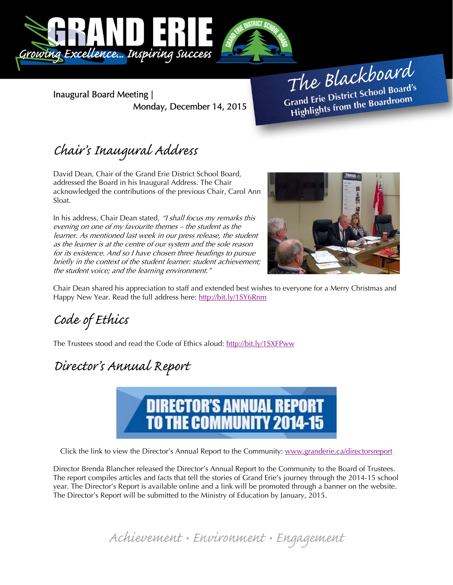

Inaugural Board Meeting | Monday, December 14, 2015

The Blackboard The Burnor<br>Grand Erie District School Board's<br>Little from the Boardroom rand Erie District School Board<br>Highlights from the Boardroom

## Chair's Inaugural Address

David Dean, Chair of the Grand Erie District School Board, addressed the Board in his Inaugural Address. The Chair acknowledged the contributions of the previous Chair, Carol Ann Sloat.

In his address, Chair Dean stated, "I shall focus my remarks this evening on one of my favourite themes – the student as the learner. As mentioned last week in our press release, the student as the learner is at the centre of our system and the sole reason for its existence. And so I have chosen three headings to pursue briefly in the context of the student learner: student achievement; the student voice; and the learning environment."



Chair Dean shared his appreciation to staff and extended best wishes to everyone for a Merry Christmas and Happy New Year. Read the full address here: http://bit.ly/1SY6Rnm

# Code of Ethics

The Trustees stood and read the Code of Ethics aloud: http://bit.ly/1SXFPww

### Director's Annual Report

ECTOR'S ANNUAL REPOR The Community 2014-15

Click the link to view the Director's Annual Report to the Community: www.granderie.ca/directorsreport

Director Brenda Blancher released the Director's Annual Report to the Community to the Board of Trustees. The report compiles articles and facts that tell the stories of Grand Erie's journey through the 2014-15 school year. The Director's Report is available online and a link will be promoted through a banner on the website. The Director's Report will be submitted to the Ministry of Education by January, 2015.

Achievement • Environment • Engagement